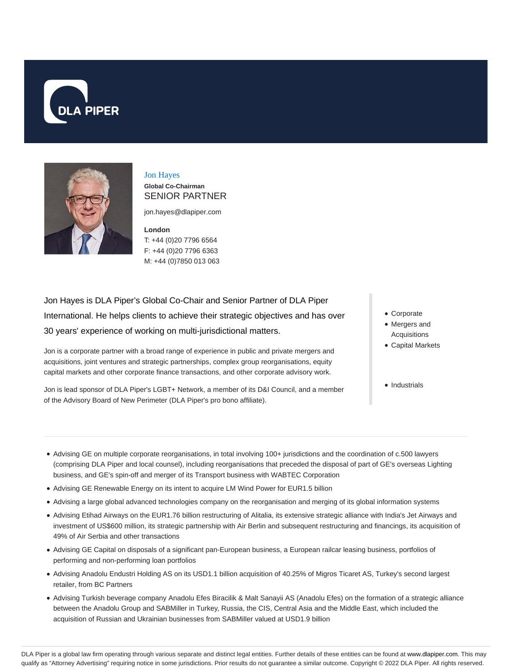



# Jon Hayes

**Global Co-Chairman** SENIOR PARTNER

jon.hayes@dlapiper.com

**London** T: +44 (0)20 7796 6564 F: +44 (0)20 7796 6363 M: +44 (0)7850 013 063

Jon Hayes is DLA Piper's Global Co-Chair and Senior Partner of DLA Piper International. He helps clients to achieve their strategic objectives and has over 30 years' experience of working on multi-jurisdictional matters.

Jon is a corporate partner with a broad range of experience in public and private mergers and acquisitions, joint ventures and strategic partnerships, complex group reorganisations, equity capital markets and other corporate finance transactions, and other corporate advisory work.

Jon is lead sponsor of DLA Piper's LGBT+ Network, a member of its D&I Council, and a member of the Advisory Board of New Perimeter (DLA Piper's pro bono affiliate).

- Corporate
- Mergers and Acquisitions
- Capital Markets
- Industrials
- Advising GE on multiple corporate reorganisations, in total involving 100+ jurisdictions and the coordination of c.500 lawyers (comprising DLA Piper and local counsel), including reorganisations that preceded the disposal of part of GE's overseas Lighting business, and GE's spin-off and merger of its Transport business with WABTEC Corporation
- Advising GE Renewable Energy on its intent to acquire LM Wind Power for EUR1.5 billion
- Advising a large global advanced technologies company on the reorganisation and merging of its global information systems
- Advising Etihad Airways on the EUR1.76 billion restructuring of Alitalia, its extensive strategic alliance with India's Jet Airways and investment of US\$600 million, its strategic partnership with Air Berlin and subsequent restructuring and financings, its acquisition of 49% of Air Serbia and other transactions
- Advising GE Capital on disposals of a significant pan-European business, a European railcar leasing business, portfolios of performing and non-performing loan portfolios
- Advising Anadolu Endustri Holding AS on its USD1.1 billion acquisition of 40.25% of Migros Ticaret AS, Turkey's second largest retailer, from BC Partners
- Advising Turkish beverage company Anadolu Efes Biracilik & Malt Sanayii AS (Anadolu Efes) on the formation of a strategic alliance between the Anadolu Group and SABMiller in Turkey, Russia, the CIS, Central Asia and the Middle East, which included the acquisition of Russian and Ukrainian businesses from SABMiller valued at USD1.9 billion